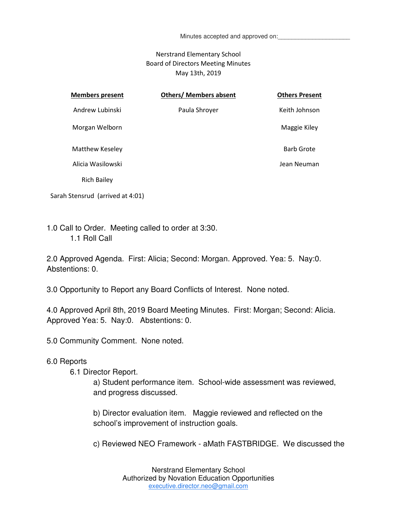Minutes accepted and approved on:

### Nerstrand Elementary School Board of Directors Meeting Minutes May 13th, 2019

| <b>Members present</b> | <b>Others/ Members absent</b> | <b>Others Present</b> |
|------------------------|-------------------------------|-----------------------|
| Andrew Lubinski        | Paula Shroyer                 | Keith Johnson         |
| Morgan Welborn         |                               | Maggie Kiley          |
| Matthew Keseley        |                               | <b>Barb Grote</b>     |
| Alicia Wasilowski      |                               | Jean Neuman           |
| <b>Rich Bailey</b>     |                               |                       |

Sarah Stensrud (arrived at 4:01)

1.0 Call to Order. Meeting called to order at 3:30. 1.1 Roll Call

2.0 Approved Agenda. First: Alicia; Second: Morgan. Approved. Yea: 5. Nay:0. Abstentions: 0.

3.0 Opportunity to Report any Board Conflicts of Interest. None noted.

4.0 Approved April 8th, 2019 Board Meeting Minutes. First: Morgan; Second: Alicia. Approved Yea: 5. Nay:0. Abstentions: 0.

5.0 Community Comment. None noted.

### 6.0 Reports

6.1 Director Report.

a) Student performance item. School-wide assessment was reviewed, and progress discussed.

b) Director evaluation item. Maggie reviewed and reflected on the school's improvement of instruction goals.

c) Reviewed NEO Framework - aMath FASTBRIDGE. We discussed the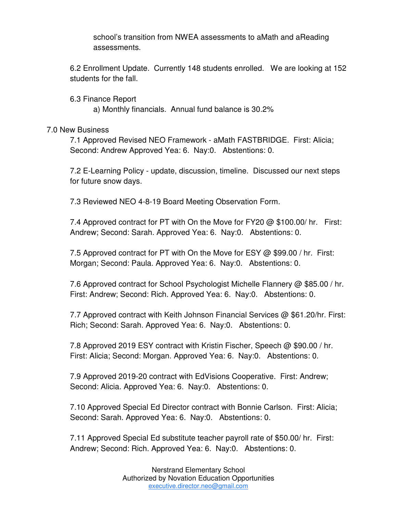school's transition from NWEA assessments to aMath and aReading assessments.

6.2 Enrollment Update. Currently 148 students enrolled. We are looking at 152 students for the fall.

6.3 Finance Report a) Monthly financials. Annual fund balance is 30.2%

# 7.0 New Business

7.1 Approved Revised NEO Framework - aMath FASTBRIDGE. First: Alicia; Second: Andrew Approved Yea: 6. Nay:0. Abstentions: 0.

7.2 E-Learning Policy - update, discussion, timeline. Discussed our next steps for future snow days.

7.3 Reviewed NEO 4-8-19 Board Meeting Observation Form.

7.4 Approved contract for PT with On the Move for FY20  $\omega$  \$100.00/ hr. First: Andrew; Second: Sarah. Approved Yea: 6. Nay:0. Abstentions: 0.

7.5 Approved contract for PT with On the Move for ESY @ \$99.00 / hr. First: Morgan; Second: Paula. Approved Yea: 6. Nay:0. Abstentions: 0.

7.6 Approved contract for School Psychologist Michelle Flannery @ \$85.00 / hr. First: Andrew; Second: Rich. Approved Yea: 6. Nay:0. Abstentions: 0.

7.7 Approved contract with Keith Johnson Financial Services @ \$61.20/hr. First: Rich; Second: Sarah. Approved Yea: 6. Nay:0. Abstentions: 0.

7.8 Approved 2019 ESY contract with Kristin Fischer, Speech  $\omega$  \$90.00 / hr. First: Alicia; Second: Morgan. Approved Yea: 6. Nay:0. Abstentions: 0.

7.9 Approved 2019-20 contract with EdVisions Cooperative. First: Andrew; Second: Alicia. Approved Yea: 6. Nay:0. Abstentions: 0.

7.10 Approved Special Ed Director contract with Bonnie Carlson. First: Alicia; Second: Sarah. Approved Yea: 6. Nay:0. Abstentions: 0.

7.11 Approved Special Ed substitute teacher payroll rate of \$50.00/ hr. First: Andrew; Second: Rich. Approved Yea: 6. Nay:0. Abstentions: 0.